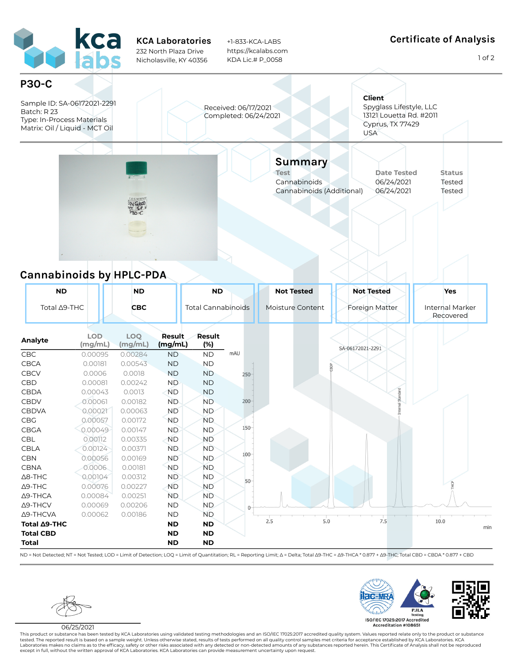

## **Cannabinoids by HPLC-PDA**

| <b>ND</b>                |                       | <b>ND</b>             |                   | <b>ND</b>                 |         | <b>Not Tested</b> | <b>Not Tested</b> | Yes                                 |
|--------------------------|-----------------------|-----------------------|-------------------|---------------------------|---------|-------------------|-------------------|-------------------------------------|
| Total ∆9-THC             |                       | <b>CBC</b>            |                   | <b>Total Cannabinoids</b> |         | Moisture Content  | Foreign Matter    | <b>Internal Marker</b><br>Recovered |
| Analyte                  | <b>LOD</b><br>(mg/mL) | <b>LOQ</b><br>(mg/mL) | Result<br>(mg/mL) | Result<br>(%)             |         |                   | SA-06172021-2291  |                                     |
| CBC                      | 0.00095               | 0.00284               | <b>ND</b>         | <b>ND</b>                 | mAU     |                   |                   |                                     |
| <b>CBCA</b>              | 0.00181               | 0.00543               | <b>ND</b>         | <b>ND</b>                 |         |                   | ă                 |                                     |
| <b>CBCV</b>              | 0.0006                | 0.0018                | <b>ND</b>         | <b>ND</b>                 | $250 -$ |                   |                   |                                     |
| CBD                      | 0.00081               | 0.00242               | <b>ND</b>         | <b>ND</b>                 |         |                   |                   |                                     |
| CBDA                     | 0.00043               | 0.0013                | <b>ND</b>         | <b>ND</b>                 |         |                   |                   |                                     |
| CBDV                     | 0.00061               | 0.00182               | <b>ND</b>         | <b>ND</b>                 | $200 -$ |                   | hal Standard      |                                     |
| <b>CBDVA</b>             | 0.00021               | 0.00063               | <b>ND</b>         | <b>ND</b>                 |         |                   |                   |                                     |
| CBG                      | 0.00057               | 0.00172               | <b>ND</b>         | <b>ND</b>                 |         |                   |                   |                                     |
| CBGA                     | 0.00049               | 0.00147               | <b>ND</b>         | <b>ND</b>                 | $150 -$ |                   |                   |                                     |
| <b>CBL</b>               | 0.00112               | 0.00335               | <b>ND</b>         | <b>ND</b>                 |         |                   |                   |                                     |
| CBLA                     | 0.00124               | 0.00371               | <b>ND</b>         | <b>ND</b>                 |         |                   |                   |                                     |
| <b>CBN</b>               | 0.00056               | 0.00169               | <b>ND</b>         | <b>ND</b>                 | $100 -$ |                   |                   |                                     |
| <b>CBNA</b>              | 0.0006                | 0.00181               | <b>ND</b>         | <b>ND</b>                 |         |                   |                   |                                     |
| $\Delta$ 8-THC           | 0.00104               | 0.00312               | <b>ND</b>         | <b>ND</b>                 | $50-$   |                   |                   |                                     |
| $\Delta$ 9-THC           | 0.00076               | 0.00227               | <b>ND</b>         | <b>ND</b>                 |         |                   |                   |                                     |
| $\Delta$ 9-THCA          | 0.00084               | 0.00251               | <b>ND</b>         | <b>ND</b>                 |         |                   |                   |                                     |
| $\Delta$ 9-THCV          | 0.00069               | 0.00206               | <b>ND</b>         | ND.                       | 0       |                   |                   |                                     |
| Δ9-THCVA                 | 0.00062               | 0.00186               | <b>ND</b>         | <b>ND</b>                 |         |                   |                   |                                     |
| Total <sub>49</sub> -THC |                       |                       | <b>ND</b>         | <b>ND</b>                 |         | 2.5<br>5.0        | 7.5               | 10.0                                |
| <b>Total CBD</b>         |                       |                       | <b>ND</b>         | <b>ND</b>                 |         |                   |                   |                                     |
| <b>Total</b>             |                       |                       | <b>ND</b>         | <b>ND</b>                 |         |                   |                   |                                     |

ND = Not Detected; NT = Not Tested; LOD = Limit of Detection; LOQ = Limit of Quantitation; RL = Reporting Limit; Δ = Delta; Total 39-THC = Δ9-THCA \* 0.877 + Δ9-THC; Total CBD = CBDA \* 0.877 + CBD



06/25/2021

This product or substance has been tested by KCA Laboratories using validated testing methodologies and an ISO/IEC 17025:2017 accredited quality system. Values reported relate only to the product or substance tested. The reported result is based on a sample weight. Unless otherwise stated, results of tests performed on all quality control samples met criteria for acceptance established by KCA Laboratories. KCA<br>Laboratories make except in full, without the written approval of KCA Laboratories. KCA Laboratories can provide measurement uncertainty upon request.